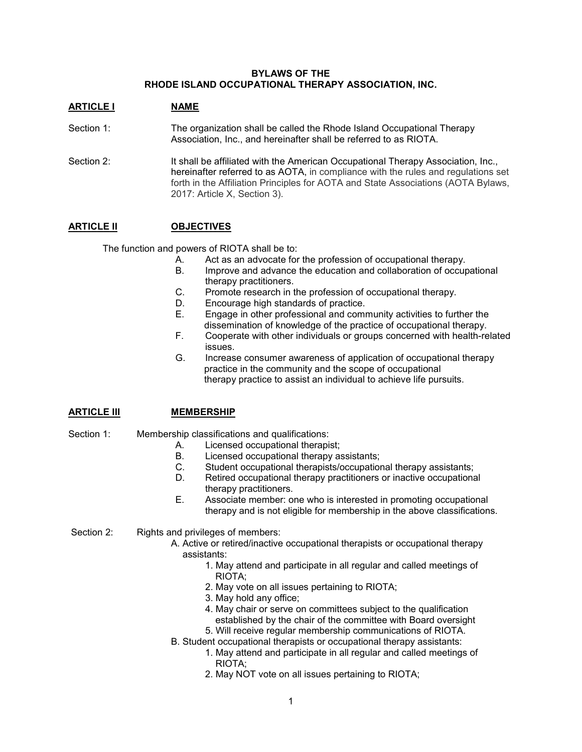### **BYLAWS OF THE RHODE ISLAND OCCUPATIONAL THERAPY ASSOCIATION, INC.**

### **ARTICLE I NAME**

- Section 1: The organization shall be called the Rhode Island Occupational Therapy Association, Inc., and hereinafter shall be referred to as RIOTA.
- Section 2: It shall be affiliated with the American Occupational Therapy Association, Inc., hereinafter referred to as AOTA, in compliance with the rules and regulations set forth in the Affiliation Principles for AOTA and State Associations (AOTA Bylaws, 2017: Article X, Section 3).

### **ARTICLE II OBJECTIVES**

The function and powers of RIOTA shall be to:

- A. Act as an advocate for the profession of occupational therapy.<br>B. Improve and advance the education and collaboration of occur
	- Improve and advance the education and collaboration of occupational therapy practitioners.
- C. Promote research in the profession of occupational therapy.
- D. Encourage high standards of practice.
- E. Engage in other professional and community activities to further the dissemination of knowledge of the practice of occupational therapy.
- F. Cooperate with other individuals or groups concerned with health-related issues.
- G. Increase consumer awareness of application of occupational therapy practice in the community and the scope of occupational therapy practice to assist an individual to achieve life pursuits.

### **ARTICLE III MEMBERSHIP**

### Section 1: Membership classifications and qualifications:

- A. Licensed occupational therapist;
- B. Licensed occupational therapy assistants;<br>C. Student occupational therapists/occupation
- Student occupational therapists/occupational therapy assistants;
- D. Retired occupational therapy practitioners or inactive occupational therapy practitioners.
- E. Associate member: one who is interested in promoting occupational therapy and is not eligible for membership in the above classifications.

Section 2: Rights and privileges of members:

- A. Active or retired/inactive occupational therapists or occupational therapy assistants:
	- 1. May attend and participate in all regular and called meetings of RIOTA;
	- 2. May vote on all issues pertaining to RIOTA;
	- 3. May hold any office;
	- 4. May chair or serve on committees subject to the qualification established by the chair of the committee with Board oversight
	- 5. Will receive regular membership communications of RIOTA.
- B. Student occupational therapists or occupational therapy assistants:
	- 1. May attend and participate in all regular and called meetings of RIOTA;
		- 2. May NOT vote on all issues pertaining to RIOTA;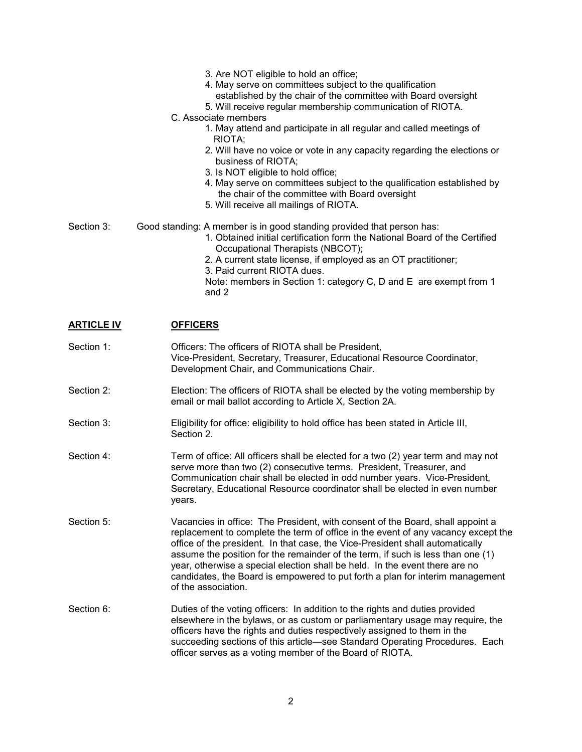- 3. Are NOT eligible to hold an office;
- 4. May serve on committees subject to the qualification
	- established by the chair of the committee with Board oversight
- 5. Will receive regular membership communication of RIOTA.
- C. Associate members
	- 1. May attend and participate in all regular and called meetings of RIOTA;
	- 2. Will have no voice or vote in any capacity regarding the elections or business of RIOTA;
	- 3. Is NOT eligible to hold office;
	- 4. May serve on committees subject to the qualification established by the chair of the committee with Board oversight
	- 5. Will receive all mailings of RIOTA.
- Section 3: Good standing: A member is in good standing provided that person has:
	- 1. Obtained initial certification form the National Board of the Certified Occupational Therapists (NBCOT);
	- 2. A current state license, if employed as an OT practitioner;
	- 3. Paid current RIOTA dues.

Note: members in Section 1: category C, D and E are exempt from 1 and 2

# **ARTICLE IV OFFICERS**

Section 1: **Officers: The officers of RIOTA shall be President,** Vice-President, Secretary, Treasurer, Educational Resource Coordinator, Development Chair, and Communications Chair. Section 2: Election: The officers of RIOTA shall be elected by the voting membership by email or mail ballot according to Article X, Section 2A. Section 3: Eligibility for office: eligibility to hold office has been stated in Article III, Section 2. Section 4: Term of office: All officers shall be elected for a two (2) year term and may not serve more than two (2) consecutive terms. President, Treasurer, and Communication chair shall be elected in odd number years. Vice-President, Secretary, Educational Resource coordinator shall be elected in even number years. Section 5: Vacancies in office: The President, with consent of the Board, shall appoint a replacement to complete the term of office in the event of any vacancy except the office of the president. In that case, the Vice-President shall automatically assume the position for the remainder of the term, if such is less than one (1) year, otherwise a special election shall be held. In the event there are no candidates, the Board is empowered to put forth a plan for interim management of the association. Section 6: Duties of the voting officers: In addition to the rights and duties provided elsewhere in the bylaws, or as custom or parliamentary usage may require, the officers have the rights and duties respectively assigned to them in the succeeding sections of this article—see Standard Operating Procedures. Each officer serves as a voting member of the Board of RIOTA.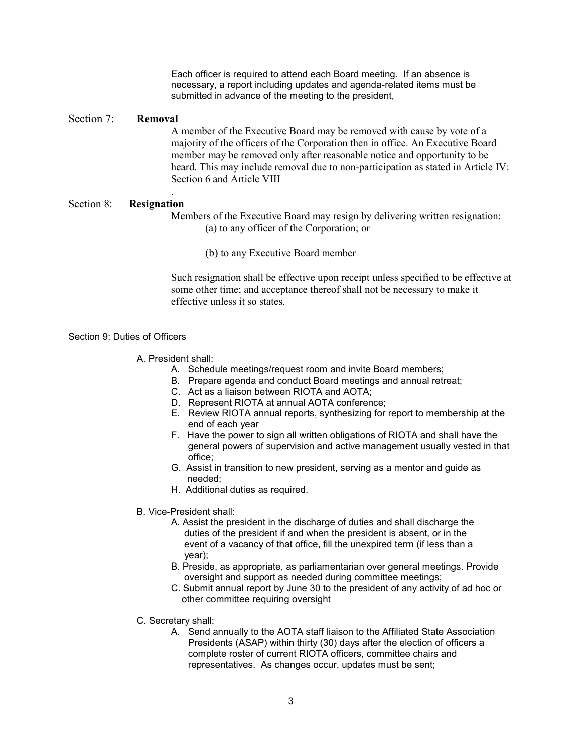Each officer is required to attend each Board meeting. If an absence is necessary, a report including updates and agenda-related items must be submitted in advance of the meeting to the president,

### Section 7: **Removal**

A member of the Executive Board may be removed with cause by vote of a majority of the officers of the Corporation then in office. An Executive Board member may be removed only after reasonable notice and opportunity to be heard. This may include removal due to non-participation as stated in Article IV: Section 6 and Article VIII

### . Section 8: **Resignation**

Members of the Executive Board may resign by delivering written resignation: (a) to any officer of the Corporation; or

(b) to any Executive Board member

Such resignation shall be effective upon receipt unless specified to be effective at some other time; and acceptance thereof shall not be necessary to make it effective unless it so states.

### Section 9: Duties of Officers

- A. President shall:
	- A. Schedule meetings/request room and invite Board members;
	- B. Prepare agenda and conduct Board meetings and annual retreat;
	- C. Act as a liaison between RIOTA and AOTA;
	- D. Represent RIOTA at annual AOTA conference;
	- E. Review RIOTA annual reports, synthesizing for report to membership at the end of each year
	- F. Have the power to sign all written obligations of RIOTA and shall have the general powers of supervision and active management usually vested in that office;
	- G. Assist in transition to new president, serving as a mentor and guide as needed;
	- H. Additional duties as required.
- B. Vice-President shall:
	- A. Assist the president in the discharge of duties and shall discharge the duties of the president if and when the president is absent, or in the event of a vacancy of that office, fill the unexpired term (if less than a year);
	- B. Preside, as appropriate, as parliamentarian over general meetings. Provide oversight and support as needed during committee meetings;
	- C. Submit annual report by June 30 to the president of any activity of ad hoc or other committee requiring oversight
- C. Secretary shall:
	- A. Send annually to the AOTA staff liaison to the Affiliated State Association Presidents (ASAP) within thirty (30) days after the election of officers a complete roster of current RIOTA officers, committee chairs and representatives. As changes occur, updates must be sent;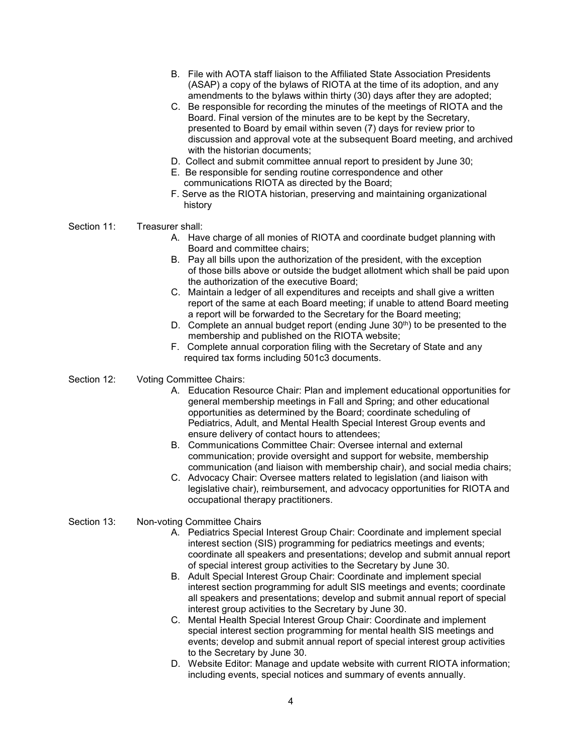- B. File with AOTA staff liaison to the Affiliated State Association Presidents (ASAP) a copy of the bylaws of RIOTA at the time of its adoption, and any amendments to the bylaws within thirty (30) days after they are adopted;
- C. Be responsible for recording the minutes of the meetings of RIOTA and the Board. Final version of the minutes are to be kept by the Secretary, presented to Board by email within seven (7) days for review prior to discussion and approval vote at the subsequent Board meeting, and archived with the historian documents;
- D. Collect and submit committee annual report to president by June 30;
- E. Be responsible for sending routine correspondence and other communications RIOTA as directed by the Board;
- F. Serve as the RIOTA historian, preserving and maintaining organizational history
- Section 11: Treasurer shall:
	- A. Have charge of all monies of RIOTA and coordinate budget planning with Board and committee chairs;
	- B. Pay all bills upon the authorization of the president, with the exception of those bills above or outside the budget allotment which shall be paid upon the authorization of the executive Board;
	- C. Maintain a ledger of all expenditures and receipts and shall give a written report of the same at each Board meeting; if unable to attend Board meeting a report will be forwarded to the Secretary for the Board meeting;
	- D. Complete an annual budget report (ending June  $30<sup>th</sup>$ ) to be presented to the membership and published on the RIOTA website;
	- F. Complete annual corporation filing with the Secretary of State and any required tax forms including 501c3 documents.
- Section 12: Voting Committee Chairs:
	- A. Education Resource Chair: Plan and implement educational opportunities for general membership meetings in Fall and Spring; and other educational opportunities as determined by the Board; coordinate scheduling of Pediatrics, Adult, and Mental Health Special Interest Group events and ensure delivery of contact hours to attendees;
	- B. Communications Committee Chair: Oversee internal and external communication; provide oversight and support for website, membership communication (and liaison with membership chair), and social media chairs;
	- C. Advocacy Chair: Oversee matters related to legislation (and liaison with legislative chair), reimbursement, and advocacy opportunities for RIOTA and occupational therapy practitioners.
- Section 13: Non-voting Committee Chairs
	- A. Pediatrics Special Interest Group Chair: Coordinate and implement special interest section (SIS) programming for pediatrics meetings and events; coordinate all speakers and presentations; develop and submit annual report of special interest group activities to the Secretary by June 30.
	- B. Adult Special Interest Group Chair: Coordinate and implement special interest section programming for adult SIS meetings and events; coordinate all speakers and presentations; develop and submit annual report of special interest group activities to the Secretary by June 30.
	- C. Mental Health Special Interest Group Chair: Coordinate and implement special interest section programming for mental health SIS meetings and events; develop and submit annual report of special interest group activities to the Secretary by June 30.
	- D. Website Editor: Manage and update website with current RIOTA information; including events, special notices and summary of events annually.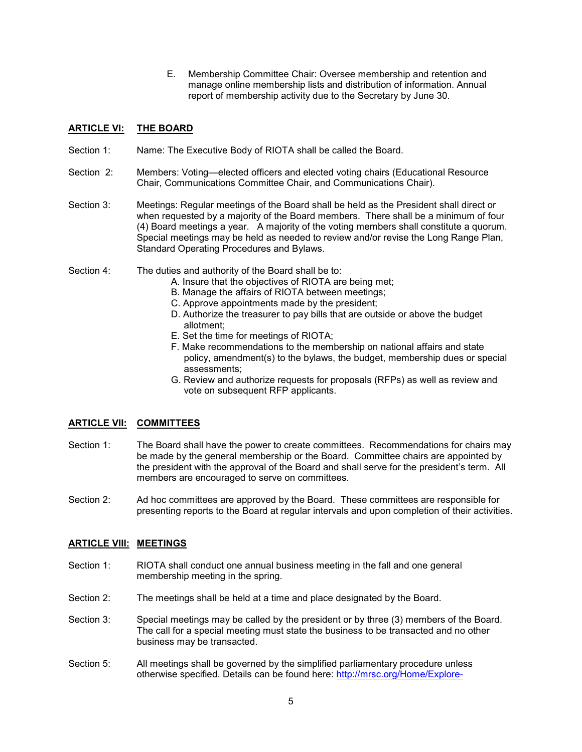E. Membership Committee Chair: Oversee membership and retention and manage online membership lists and distribution of information. Annual report of membership activity due to the Secretary by June 30.

# **ARTICLE VI: THE BOARD**

- Section 1: Name: The Executive Body of RIOTA shall be called the Board.
- Section 2: Members: Voting—elected officers and elected voting chairs (Educational Resource Chair, Communications Committee Chair, and Communications Chair).
- Section 3: Meetings: Regular meetings of the Board shall be held as the President shall direct or when requested by a majority of the Board members. There shall be a minimum of four (4) Board meetings a year. A majority of the voting members shall constitute a quorum. Special meetings may be held as needed to review and/or revise the Long Range Plan, Standard Operating Procedures and Bylaws.
- Section 4: The duties and authority of the Board shall be to:
	- A. Insure that the objectives of RIOTA are being met;
	- B. Manage the affairs of RIOTA between meetings;
	- C. Approve appointments made by the president;
	- D. Authorize the treasurer to pay bills that are outside or above the budget allotment;
	- E. Set the time for meetings of RIOTA;
	- F. Make recommendations to the membership on national affairs and state policy, amendment(s) to the bylaws, the budget, membership dues or special assessments;
	- G. Review and authorize requests for proposals (RFPs) as well as review and vote on subsequent RFP applicants.

# **ARTICLE VII: COMMITTEES**

- Section 1: The Board shall have the power to create committees. Recommendations for chairs may be made by the general membership or the Board. Committee chairs are appointed by the president with the approval of the Board and shall serve for the president's term. All members are encouraged to serve on committees.
- Section 2: Ad hoc committees are approved by the Board. These committees are responsible for presenting reports to the Board at regular intervals and upon completion of their activities.

### **ARTICLE VIII: MEETINGS**

- Section 1: RIOTA shall conduct one annual business meeting in the fall and one general membership meeting in the spring.
- Section 2: The meetings shall be held at a time and place designated by the Board.
- Section 3: Special meetings may be called by the president or by three (3) members of the Board. The call for a special meeting must state the business to be transacted and no other business may be transacted.
- Section 5: All meetings shall be governed by the simplified parliamentary procedure unless otherwise specified. Details can be found here: [http://mrsc.org/Home/Explore-](http://mrsc.org/Home/Explore-Topics/Governance/Legislative-Organization-Meetings-and-Process/Parliamentary-Procedure.aspx)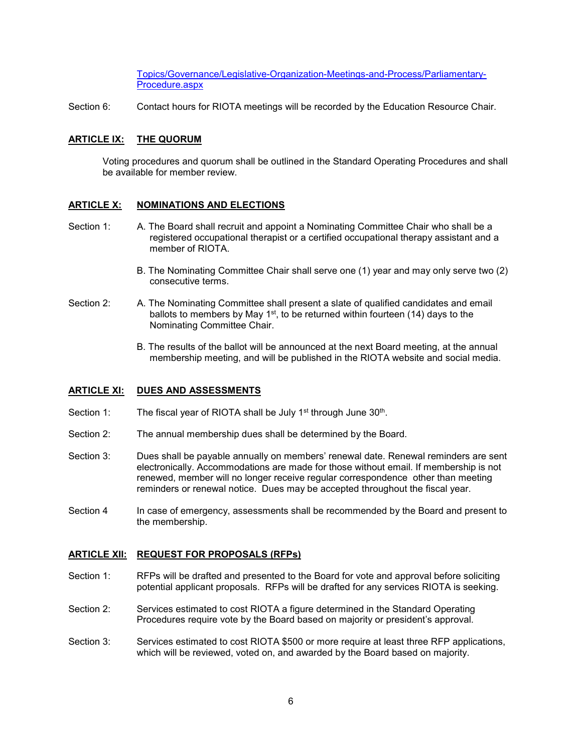[Topics/Governance/Legislative-Organization-Meetings-and-Process/Parliamentary-](http://mrsc.org/Home/Explore-Topics/Governance/Legislative-Organization-Meetings-and-Process/Parliamentary-Procedure.aspx)[Procedure.aspx](http://mrsc.org/Home/Explore-Topics/Governance/Legislative-Organization-Meetings-and-Process/Parliamentary-Procedure.aspx) 

Section 6: Contact hours for RIOTA meetings will be recorded by the Education Resource Chair.

### **ARTICLE IX: THE QUORUM**

Voting procedures and quorum shall be outlined in the Standard Operating Procedures and shall be available for member review.

### **ARTICLE X: NOMINATIONS AND ELECTIONS**

- Section 1: A. The Board shall recruit and appoint a Nominating Committee Chair who shall be a registered occupational therapist or a certified occupational therapy assistant and a member of RIOTA.
	- B. The Nominating Committee Chair shall serve one (1) year and may only serve two (2) consecutive terms.
- Section 2: A. The Nominating Committee shall present a slate of qualified candidates and email ballots to members by May 1<sup>st</sup>, to be returned within fourteen (14) days to the Nominating Committee Chair.
	- B. The results of the ballot will be announced at the next Board meeting, at the annual membership meeting, and will be published in the RIOTA website and social media.

### **ARTICLE XI: DUES AND ASSESSMENTS**

- Section 1: The fiscal year of RIOTA shall be July 1<sup>st</sup> through June 30<sup>th</sup>.
- Section 2: The annual membership dues shall be determined by the Board.
- Section 3: Dues shall be payable annually on members' renewal date. Renewal reminders are sent electronically. Accommodations are made for those without email. If membership is not renewed, member will no longer receive regular correspondence other than meeting reminders or renewal notice. Dues may be accepted throughout the fiscal year.
- Section 4 In case of emergency, assessments shall be recommended by the Board and present to the membership.

### **ARTICLE XII: REQUEST FOR PROPOSALS (RFPs)**

- Section 1: RFPs will be drafted and presented to the Board for vote and approval before soliciting potential applicant proposals. RFPs will be drafted for any services RIOTA is seeking.
- Section 2: Services estimated to cost RIOTA a figure determined in the Standard Operating Procedures require vote by the Board based on majority or president's approval.
- Section 3: Services estimated to cost RIOTA \$500 or more require at least three RFP applications, which will be reviewed, voted on, and awarded by the Board based on majority.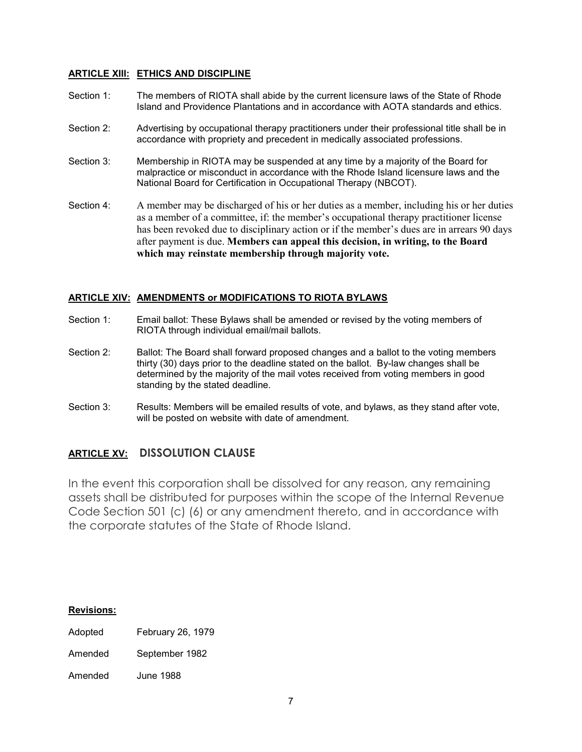# **ARTICLE XIII: ETHICS AND DISCIPLINE**

- Section 1: The members of RIOTA shall abide by the current licensure laws of the State of Rhode Island and Providence Plantations and in accordance with AOTA standards and ethics.
- Section 2: Advertising by occupational therapy practitioners under their professional title shall be in accordance with propriety and precedent in medically associated professions.
- Section 3: Membership in RIOTA may be suspended at any time by a majority of the Board for malpractice or misconduct in accordance with the Rhode Island licensure laws and the National Board for Certification in Occupational Therapy (NBCOT).
- Section 4: A member may be discharged of his or her duties as a member, including his or her duties as a member of a committee, if: the member's occupational therapy practitioner license has been revoked due to disciplinary action or if the member's dues are in arrears 90 days after payment is due. **Members can appeal this decision, in writing, to the Board which may reinstate membership through majority vote.**

### **ARTICLE XIV: AMENDMENTS or MODIFICATIONS TO RIOTA BYLAWS**

- Section 1: Email ballot: These Bylaws shall be amended or revised by the voting members of RIOTA through individual email/mail ballots.
- Section 2: Ballot: The Board shall forward proposed changes and a ballot to the voting members thirty (30) days prior to the deadline stated on the ballot. By-law changes shall be determined by the majority of the mail votes received from voting members in good standing by the stated deadline.
- Section 3: Results: Members will be emailed results of vote, and bylaws, as they stand after vote, will be posted on website with date of amendment.

# **ARTICLE XV: DISSOLUTION CLAUSE**

In the event this corporation shall be dissolved for any reason, any remaining assets shall be distributed for purposes within the scope of the Internal Revenue Code Section 501 (c) (6) or any amendment thereto, and in accordance with the corporate statutes of the State of Rhode Island.

### **Revisions:**

- Adopted February 26, 1979
- Amended September 1982

Amended June 1988